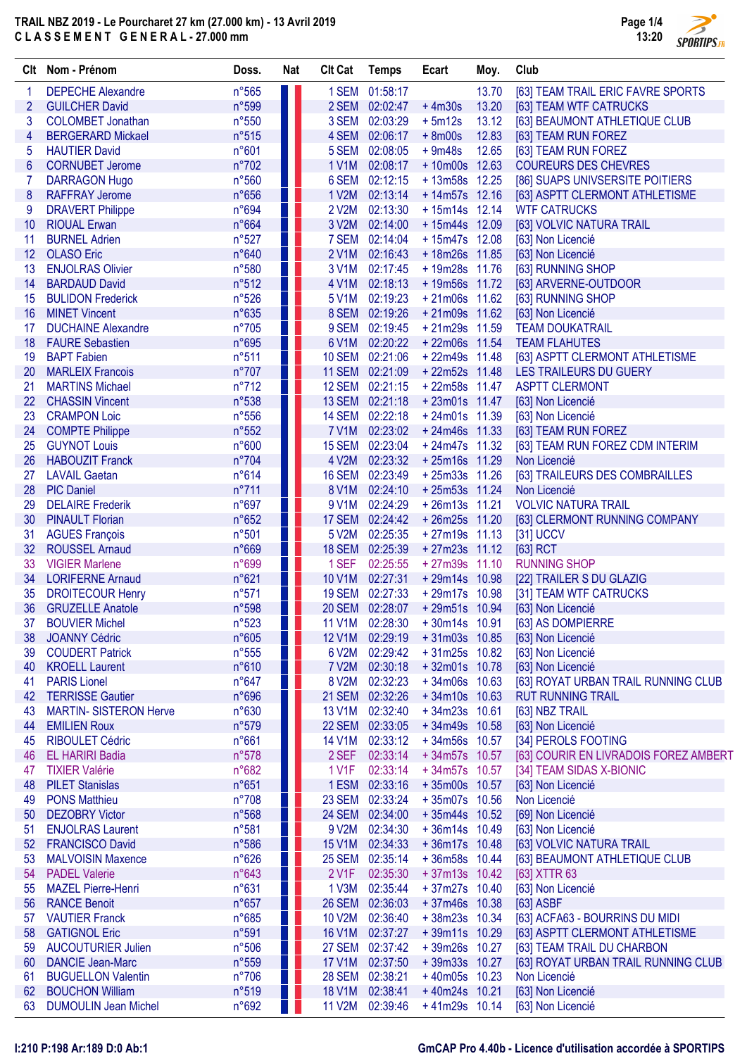Page 1/4 4 13:20 **SPORTIPS.FR** 

|    | Clt Nom - Prénom              | Doss.          | <b>Nat</b> | <b>CIt Cat</b> | <b>Temps</b>    | Ecart           | Moy.  | Club                                  |
|----|-------------------------------|----------------|------------|----------------|-----------------|-----------------|-------|---------------------------------------|
| 1  | <b>DEPECHE Alexandre</b>      | n°565          |            |                | 1 SEM 01:58:17  |                 | 13.70 | [63] TEAM TRAIL ERIC FAVRE SPORTS     |
| 2  | <b>GUILCHER David</b>         | n°599          |            |                | 2 SEM 02:02:47  | $+4m30s$        | 13.20 | [63] TEAM WTF CATRUCKS                |
| 3  | <b>COLOMBET Jonathan</b>      | n°550          |            |                | 3 SEM 02:03:29  | $+5m12s$        | 13.12 | [63] BEAUMONT ATHLETIQUE CLUB         |
| 4  | <b>BERGERARD Mickael</b>      | n°515          |            |                | 4 SEM 02:06:17  | $+8m00s$        | 12.83 | [63] TEAM RUN FOREZ                   |
| 5  | <b>HAUTIER David</b>          | n°601          |            | 5 SEM          | 02:08:05        | $+9m48s$        | 12.65 | [63] TEAM RUN FOREZ                   |
| 6  | <b>CORNUBET Jerome</b>        | n°702          |            | 1 V1M          | 02:08:17        | $+10m00s$       | 12.63 | <b>COUREURS DES CHEVRES</b>           |
| 7  | <b>DARRAGON Hugo</b>          | n°560          |            | 6 SEM          | 02:12:15        | +13m58s 12.25   |       | [86] SUAPS UNIVSERSITE POITIERS       |
| 8  | <b>RAFFRAY Jerome</b>         | n°656          |            | 1 V2M          | 02:13:14        | $+14m57s$ 12.16 |       | [63] ASPTT CLERMONT ATHLETISME        |
| 9  | <b>DRAVERT Philippe</b>       | n°694          |            | 2 V2M          | 02:13:30        | $+15m14s$ 12.14 |       | <b>WTF CATRUCKS</b>                   |
| 10 | <b>RIOUAL Erwan</b>           | n°664          |            | 3 V2M          | 02:14:00        | +15m44s 12.09   |       | [63] VOLVIC NATURA TRAIL              |
| 11 | <b>BURNEL Adrien</b>          | n°527          |            | 7 SEM          | 02:14:04        | $+15m47s$       | 12.08 | [63] Non Licencié                     |
| 12 | <b>OLASO Eric</b>             | n°640          |            | 2 V1M          | 02:16:43        | $+18m26s$       | 11.85 | [63] Non Licencié                     |
| 13 | <b>ENJOLRAS Olivier</b>       | n°580          |            | 3 V1M          | 02:17:45        | +19m28s 11.76   |       | [63] RUNNING SHOP                     |
| 14 | <b>BARDAUD David</b>          | n°512          |            | 4 V1M          | 02:18:13        | +19m56s 11.72   |       | [63] ARVERNE-OUTDOOR                  |
| 15 | <b>BULIDON Frederick</b>      | n°526          |            | 5 V1M          | 02:19:23        | $+21m06s$ 11.62 |       | [63] RUNNING SHOP                     |
| 16 | <b>MINET Vincent</b>          | n°635          |            |                | 8 SEM 02:19:26  | $+21m09s$ 11.62 |       | [63] Non Licencié                     |
| 17 | <b>DUCHAINE Alexandre</b>     | $n^{\circ}705$ |            |                | 9 SEM 02:19:45  | $+21m29s$ 11.59 |       | <b>TEAM DOUKATRAIL</b>                |
| 18 | <b>FAURE Sebastien</b>        | n°695          |            | 6 V1M          | 02:20:22        | +22m06s 11.54   |       | <b>TEAM FLAHUTES</b>                  |
| 19 | <b>BAPT Fabien</b>            | n°511          |            | <b>10 SEM</b>  | 02:21:06        | $+22m49s$ 11.48 |       | [63] ASPTT CLERMONT ATHLETISME        |
| 20 | <b>MARLEIX Francois</b>       | n°707          |            | <b>11 SEM</b>  | 02:21:09        | $+22m52s$ 11.48 |       | LES TRAILEURS DU GUERY                |
| 21 | <b>MARTINS Michael</b>        | $n^{\circ}712$ |            | <b>12 SEM</b>  | 02:21:15        | +22m58s 11.47   |       | <b>ASPTT CLERMONT</b>                 |
| 22 | <b>CHASSIN Vincent</b>        | n°538          |            | 13 SEM         | 02:21:18        | $+23m01s$ 11.47 |       | [63] Non Licencié                     |
| 23 | <b>CRAMPON Loic</b>           | n°556          |            | <b>14 SEM</b>  | 02:22:18        | $+24m01s$ 11.39 |       | [63] Non Licencié                     |
| 24 | <b>COMPTE Philippe</b>        | n°552          |            | <b>7 V1M</b>   | 02:23:02        | $+24m46s$ 11.33 |       | [63] TEAM RUN FOREZ                   |
| 25 | <b>GUYNOT Louis</b>           | n°600          | l j        | <b>15 SEM</b>  | 02:23:04        | +24m47s 11.32   |       | [63] TEAM RUN FOREZ CDM INTERIM       |
| 26 | <b>HABOUZIT Franck</b>        | n°704          |            |                | 4 V2M 02:23:32  | $+25m16s$ 11.29 |       | Non Licencié                          |
| 27 | <b>LAVAIL Gaetan</b>          | n°614          |            |                | 16 SEM 02:23:49 | $+25m33s$ 11.26 |       | [63] TRAILEURS DES COMBRAILLES        |
| 28 | <b>PIC Daniel</b>             | n°711          |            |                | 8 V1M 02:24:10  | $+25m53s$ 11.24 |       | Non Licencié                          |
| 29 | <b>DELAIRE</b> Frederik       | n°697          |            | 9 V1M          | 02:24:29        | $+26m13s$ 11.21 |       | <b>VOLVIC NATURA TRAIL</b>            |
| 30 | <b>PINAULT Florian</b>        | n°652          |            |                | 17 SEM 02:24:42 | $+26m25s$ 11.20 |       | [63] CLERMONT RUNNING COMPANY         |
| 31 | <b>AGUES François</b>         | n°501          |            | 5 V2M          | 02:25:35        | $+27m19s$ 11.13 |       | [31] UCCV                             |
| 32 | <b>ROUSSEL Arnaud</b>         | n°669          |            | <b>18 SEM</b>  | 02:25:39        | $+27m23s$ 11.12 |       | $[63]$ RCT                            |
| 33 | <b>VIGIER Marlene</b>         | n°699          |            | 1 SEF          | 02:25:55        | $+27m39s$ 11.10 |       | <b>RUNNING SHOP</b>                   |
| 34 | <b>LORIFERNE Arnaud</b>       | n°621          |            | <b>10 V1M</b>  | 02:27:31        | +29m14s 10.98   |       | [22] TRAILER S DU GLAZIG              |
| 35 | <b>DROITECOUR Henry</b>       | n°571          |            | <b>19 SEM</b>  | 02:27:33        | +29m17s 10.98   |       | [31] TEAM WTF CATRUCKS                |
| 36 | <b>GRUZELLE Anatole</b>       | n°598          |            |                | 20 SEM 02:28:07 | $+29m51s$ 10.94 |       | [63] Non Licencié                     |
| 37 | <b>BOUVIER Michel</b>         | n°523          |            |                | 11 V1M 02:28:30 | $+30m14s$ 10.91 |       | [63] AS DOMPIERRE                     |
| 38 | <b>JOANNY Cédric</b>          | n°605          |            |                | 12 V1M 02:29:19 | $+31m03s$ 10.85 |       | [63] Non Licencié                     |
| 39 | <b>COUDERT Patrick</b>        | n°555          |            | 6 V2M          | 02:29:42        | $+31m25s$ 10.82 |       | [63] Non Licencié                     |
| 40 | <b>KROELL Laurent</b>         | n°610          |            | 7 V2M          | 02:30:18        | +32m01s 10.78   |       | [63] Non Licencié                     |
| 41 | <b>PARIS Lionel</b>           | n°647          |            | 8 V2M          | 02:32:23        | $+34m06s$ 10.63 |       | [63] ROYAT URBAN TRAIL RUNNING CLUB   |
| 42 | <b>TERRISSE Gautier</b>       | n°696          |            |                | 21 SEM 02:32:26 | $+34m10s$ 10.63 |       | <b>RUT RUNNING TRAIL</b>              |
| 43 | <b>MARTIN- SISTERON Herve</b> | n°630          |            | <b>13 V1M</b>  | 02:32:40        | $+34m23s$       | 10.61 | [63] NBZ TRAIL                        |
| 44 | <b>EMILIEN Roux</b>           | n°579          |            | <b>22 SEM</b>  | 02:33:05        | $+34m49s$ 10.58 |       | [63] Non Licencié                     |
| 45 | <b>RIBOULET Cédric</b>        | n°661          |            | <b>14 V1M</b>  | 02:33:12        | $+34m56s$ 10.57 |       | [34] PEROLS FOOTING                   |
| 46 | <b>EL HARIRI Badia</b>        | n°578          |            | 2 SEF          | 02:33:14        | +34m57s 10.57   |       | [63] COURIR EN LIVRADOIS FOREZ AMBERT |
| 47 | <b>TIXIER Valérie</b>         | n°682          |            | 1 V1F          | 02:33:14        | $+34m57s$ 10.57 |       | [34] TEAM SIDAS X-BIONIC              |
| 48 | <b>PILET Stanislas</b>        | n°651          |            |                | 1 ESM 02:33:16  | $+35m00s$       | 10.57 | [63] Non Licencié                     |
| 49 | <b>PONS Matthieu</b>          | n°708          |            | 23 SEM         | 02:33:24        | $+35m07s$ 10.56 |       | Non Licencié                          |
| 50 | <b>DEZOBRY Victor</b>         | n°568          |            |                | 24 SEM 02:34:00 | $+35m44s$ 10.52 |       | [69] Non Licencié                     |
| 51 | <b>ENJOLRAS Laurent</b>       | n°581          |            | 9 V2M          | 02:34:30        | $+36m14s$ 10.49 |       | [63] Non Licencié                     |
| 52 | <b>FRANCISCO David</b>        | n°586          |            |                | 15 V1M 02:34:33 | $+36m17s$ 10.48 |       | [63] VOLVIC NATURA TRAIL              |
| 53 | <b>MALVOISIN Maxence</b>      | n°626          |            |                | 25 SEM 02:35:14 | +36m58s 10.44   |       | [63] BEAUMONT ATHLETIQUE CLUB         |
| 54 | <b>PADEL Valerie</b>          | n°643          |            | 2 V1F          | 02:35:30        | $+37m13s$ 10.42 |       | [63] XTTR 63                          |
| 55 | <b>MAZEL Pierre-Henri</b>     | n°631          |            | 1 V3M          | 02:35:44        | $+37m27s$ 10.40 |       | [63] Non Licencié                     |
| 56 | <b>RANCE Benoit</b>           | n°657          |            |                | 26 SEM 02:36:03 | $+37m46s$ 10.38 |       | [63] ASBF                             |
| 57 | <b>VAUTIER Franck</b>         | n°685          |            | <b>10 V2M</b>  | 02:36:40        | $+38m23s$ 10.34 |       | [63] ACFA63 - BOURRINS DU MIDI        |
| 58 | <b>GATIGNOL Eric</b>          | n°591          |            | <b>16 V1M</b>  | 02:37:27        | $+39m11s$ 10.29 |       | [63] ASPTT CLERMONT ATHLETISME        |
| 59 | <b>AUCOUTURIER Julien</b>     | n°506          |            | <b>27 SEM</b>  | 02:37:42        | $+39m26s$ 10.27 |       | [63] TEAM TRAIL DU CHARBON            |
| 60 | <b>DANCIE Jean-Marc</b>       | n°559          |            | <b>17 V1M</b>  | 02:37:50        | $+39m33s$ 10.27 |       | [63] ROYAT URBAN TRAIL RUNNING CLUB   |
| 61 | <b>BUGUELLON Valentin</b>     | $n^{\circ}706$ |            | <b>28 SEM</b>  | 02:38:21        | $+40m05s$       | 10.23 | Non Licencié                          |
| 62 | <b>BOUCHON William</b>        | n°519          |            | <b>18 V1M</b>  | 02:38:41        | $+40m24s$       | 10.21 | [63] Non Licencié                     |
| 63 | <b>DUMOULIN Jean Michel</b>   | n°692          |            | <b>11 V2M</b>  | 02:39:46        | $+41m29s$ 10.14 |       | [63] Non Licencié                     |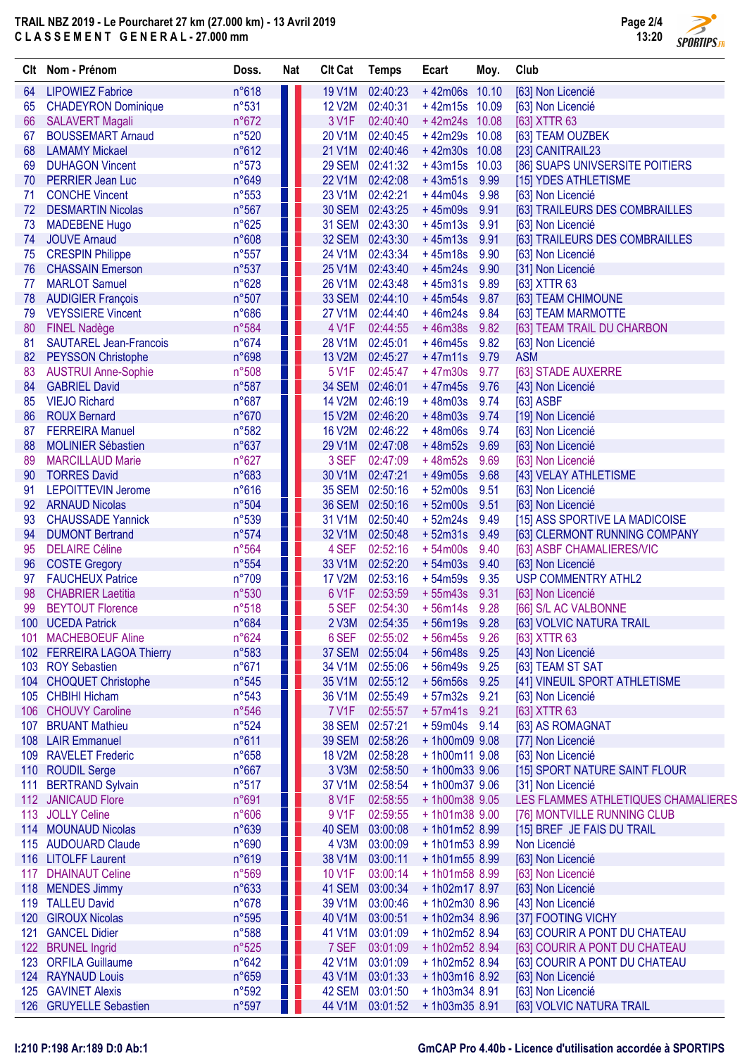Page 2/4 13:20 **SPORTIPS.FR** 

| Clt  | Nom - Prénom                  | Doss. | <b>Nat</b> | <b>Clt Cat</b>   | <b>Temps</b>    | Ecart           | Moy.  | Club                                |
|------|-------------------------------|-------|------------|------------------|-----------------|-----------------|-------|-------------------------------------|
| 64   | <b>LIPOWIEZ Fabrice</b>       | n°618 |            | <b>19 V1M</b>    | 02:40:23        | $+42m06s$       | 10.10 | [63] Non Licencié                   |
| 65   | <b>CHADEYRON Dominique</b>    | n°531 |            | <b>12 V2M</b>    | 02:40:31        | $+42m15s$ 10.09 |       | [63] Non Licencié                   |
| 66   | <b>SALAVERT Magali</b>        | n°672 |            | 3 V1F            | 02:40:40        | +42m24s 10.08   |       | [63] XTTR 63                        |
| 67   | <b>BOUSSEMART Arnaud</b>      | n°520 |            | 20 V1M           | 02:40:45        | +42m29s 10.08   |       | [63] TEAM OUZBEK                    |
| 68   | <b>LAMAMY Mickael</b>         | n°612 |            | 21 V1M           | 02:40:46        | $+42m30s$       | 10.08 | [23] CANITRAIL23                    |
| 69   | <b>DUHAGON Vincent</b>        | n°573 |            |                  | 29 SEM 02:41:32 | $+43m15s$       | 10.03 | [86] SUAPS UNIVSERSITE POITIERS     |
| 70   | <b>PERRIER Jean Luc</b>       | n°649 |            | <b>22 V1M</b>    | 02:42:08        | $+43m51s$       | 9.99  | [15] YDES ATHLETISME                |
| 71   | <b>CONCHE Vincent</b>         | n°553 |            | 23 V1M           | 02:42:21        | $+44m04s$       | 9.98  | [63] Non Licencié                   |
| 72   | <b>DESMARTIN Nicolas</b>      | n°567 |            |                  | 30 SEM 02:43:25 | $+45m09s$       | 9.91  | [63] TRAILEURS DES COMBRAILLES      |
| 73   | <b>MADEBENE Hugo</b>          | n°625 |            |                  | 31 SEM 02:43:30 | $+45m13s$       | 9.91  | [63] Non Licencié                   |
| 74   | <b>JOUVE Arnaud</b>           | n°608 |            |                  | 32 SEM 02:43:30 | $+45m13s$       | 9.91  | [63] TRAILEURS DES COMBRAILLES      |
| 75   | <b>CRESPIN Philippe</b>       | n°557 |            | 24 V1M           | 02:43:34        | $+45m18s$       | 9.90  | [63] Non Licencié                   |
| 76   | <b>CHASSAIN Emerson</b>       | n°537 |            | 25 V1M           | 02:43:40        | $+45m24s$       | 9.90  | [31] Non Licencié                   |
| 77   | <b>MARLOT Samuel</b>          | n°628 |            | 26 V1M           | 02:43:48        | $+45m31s$       | 9.89  | [63] XTTR 63                        |
| 78   | <b>AUDIGIER François</b>      | n°507 |            |                  | 33 SEM 02:44:10 | $+45m54s$       | 9.87  | [63] TEAM CHIMOUNE                  |
| 79   | <b>VEYSSIERE Vincent</b>      | n°686 |            | <b>27 V1M</b>    | 02:44:40        | $+46m24s$       | 9.84  | [63] TEAM MARMOTTE                  |
| 80   | <b>FINEL Nadège</b>           | n°584 |            | 4 V1F            | 02:44:55        | $+46m38s$       | 9.82  | [63] TEAM TRAIL DU CHARBON          |
| 81   | <b>SAUTAREL Jean-Francois</b> | n°674 |            | <b>28 V1M</b>    | 02:45:01        | $+46m45s$       | 9.82  | [63] Non Licencié                   |
| 82   | <b>PEYSSON Christophe</b>     | n°698 |            | <b>13 V2M</b>    | 02:45:27        | $+47m11s$       | 9.79  | <b>ASM</b>                          |
| 83   | <b>AUSTRUI Anne-Sophie</b>    | n°508 |            | 5 V1F            | 02:45:47        | $+47m30s$       | 9.77  | [63] STADE AUXERRE                  |
| 84   | <b>GABRIEL David</b>          | n°587 |            |                  | 34 SEM 02:46:01 | $+47m45s$       | 9.76  | [43] Non Licencié                   |
| 85   | <b>VIEJO Richard</b>          | n°687 |            | <b>14 V2M</b>    | 02:46:19        | $+48m03s$       | 9.74  | [63] ASBF                           |
| 86   | <b>ROUX Bernard</b>           | n°670 |            | <b>15 V2M</b>    | 02:46:20        | $+48m03s$       | 9.74  | [19] Non Licencié                   |
| 87   | <b>FERREIRA Manuel</b>        | n°582 |            | <b>16 V2M</b>    | 02:46:22        | $+48m06s$       | 9.74  | [63] Non Licencié                   |
| 88   | <b>MOLINIER Sébastien</b>     | n°637 |            | 29 V1M           | 02:47:08        | $+48m52s$       | 9.69  | [63] Non Licencié                   |
| 89   | <b>MARCILLAUD Marie</b>       | n°627 |            | 3 SEF            | 02:47:09        | $+48m52s$       | 9.69  | [63] Non Licencié                   |
| 90   | <b>TORRES David</b>           | n°683 |            |                  | 30 V1M 02:47:21 | $+49m05s$       | 9.68  | [43] VELAY ATHLETISME               |
| 91   | <b>LEPOITTEVIN Jerome</b>     | n°616 |            |                  | 35 SEM 02:50:16 | $+52m00s$       | 9.51  | [63] Non Licencié                   |
| 92   | <b>ARNAUD Nicolas</b>         | n°504 |            |                  | 36 SEM 02:50:16 | $+52m00s$       | 9.51  | [63] Non Licencié                   |
| 93   | <b>CHAUSSADE Yannick</b>      | n°539 |            | 31 V1M           | 02:50:40        | $+52m24s$       | 9.49  | [15] ASS SPORTIVE LA MADICOISE      |
| 94   | <b>DUMONT Bertrand</b>        | n°574 |            | 32 V1M           | 02:50:48        | $+52m31s$       | 9.49  | [63] CLERMONT RUNNING COMPANY       |
| 95   | <b>DELAIRE Céline</b>         | n°564 |            | 4 SEF            | 02:52:16        | $+54m00s$       | 9.40  | [63] ASBF CHAMALIERES/VIC           |
| 96   | <b>COSTE Gregory</b>          | n°554 |            | 33 V1M           | 02:52:20        | $+54m03s$       | 9.40  | [63] Non Licencié                   |
| 97   | <b>FAUCHEUX Patrice</b>       | n°709 |            | <b>17 V2M</b>    | 02:53:16        | $+54m59s$       | 9.35  | <b>USP COMMENTRY ATHL2</b>          |
| 98   | <b>CHABRIER Laetitia</b>      | n°530 |            | 6 V1F            | 02:53:59        | $+55m43s$       | 9.31  | [63] Non Licencié                   |
| 99   | <b>BEYTOUT Florence</b>       | n°518 |            | 5 SEF            | 02:54:30        | $+56m14s$       | 9.28  | [66] S/L AC VALBONNE                |
|      | 100 UCEDA Patrick             | n°684 |            |                  | 2 V3M 02:54:35  | $+56m19s$ 9.28  |       | [63] VOLVIC NATURA TRAIL            |
| 101_ | <b>MACHEBOEUF Aline</b>       | n°624 |            | 6 SEF            | 02:55:02        | + 56m45s        | 9.26  | [63] XTTR 63                        |
|      | 102 FERREIRA LAGOA Thierry    | n°583 |            |                  | 37 SEM 02:55:04 | $+56m48s$       | 9.25  | [43] Non Licencié                   |
|      | 103 ROY Sebastien             | n°671 |            |                  | 34 V1M 02:55:06 | $+56m49s$       | 9.25  | [63] TEAM ST SAT                    |
|      | 104 CHOQUET Christophe        | n°545 |            |                  | 35 V1M 02:55:12 | $+56m56s$       | 9.25  | [41] VINEUIL SPORT ATHLETISME       |
|      | 105 CHBIHI Hicham             | n°543 |            | 36 V1M           | 02:55:49        | $+57m32s$       | 9.21  | [63] Non Licencié                   |
| 106  | <b>CHOUVY Caroline</b>        | n°546 |            | 7 V1F            | 02:55:57        | $+57m41s$ 9.21  |       | [63] XTTR 63                        |
|      | 107 BRUANT Mathieu            | n°524 |            |                  | 38 SEM 02:57:21 | $+59m04s$       | 9.14  | [63] AS ROMAGNAT                    |
|      | 108 LAIR Emmanuel             | n°611 |            |                  | 39 SEM 02:58:26 | +1h00m09 9.08   |       | [77] Non Licencié                   |
|      | 109 RAVELET Frederic          | n°658 |            | <b>18 V2M</b>    | 02:58:28        | +1h00m11 9.08   |       | [63] Non Licencié                   |
|      | 110 ROUDIL Serge              | n°667 |            | 3 <sub>V3M</sub> | 02:58:50        | +1h00m33 9.06   |       | [15] SPORT NATURE SAINT FLOUR       |
|      | 111 BERTRAND Sylvain          | n°517 |            | 37 V1M           | 02:58:54        | +1h00m37 9.06   |       | [31] Non Licencié                   |
|      | 112 JANICAUD Flore            | n°691 |            | 8 V1F            | 02:58:55        | +1h00m38 9.05   |       | LES FLAMMES ATHLETIQUES CHAMALIERES |
|      | 113 JOLLY Celine              | n°606 |            | 9 V1F            | 02:59:55        | +1h01m38 9.00   |       | [76] MONTVILLE RUNNING CLUB         |
|      | 114 MOUNAUD Nicolas           | n°639 |            |                  | 40 SEM 03:00:08 | $+1h01m528.99$  |       | [15] BREF JE FAIS DU TRAIL          |
|      | 115 AUDOUARD Claude           | n°690 |            | 4 V3M            | 03:00:09        | $+1h01m538.99$  |       | Non Licencié                        |
|      | 116 LITOLFF Laurent           | n°619 |            | 38 V1M           | 03:00:11        | $+1h01m558.99$  |       | [63] Non Licencié                   |
|      | 117 DHAINAUT Celine           | n°569 |            | 10 V1F           | 03:00:14        | +1h01m58 8.99   |       | [63] Non Licencié                   |
|      | 118 MENDES Jimmy              | n°633 |            |                  | 41 SEM 03:00:34 | $+1h02m178.97$  |       | [63] Non Licencié                   |
|      | 119 TALLEU David              | n°678 |            | 39 V1M           | 03:00:46        | +1h02m30 8.96   |       | [43] Non Licencié                   |
| 120  | <b>GIROUX Nicolas</b>         | n°595 |            | 40 V1M           | 03:00:51        | $+1h02m348.96$  |       | [37] FOOTING VICHY                  |
|      | 121 GANCEL Didier             | n°588 |            | 41 V1M           | 03:01:09        | $+1h02m52$ 8.94 |       | [63] COURIR A PONT DU CHATEAU       |
|      | 122 BRUNEL Ingrid             | n°525 |            | 7 SEF            | 03:01:09        | +1h02m52 8.94   |       | [63] COURIR A PONT DU CHATEAU       |
|      | 123 ORFILA Guillaume          | n°642 |            | 42 V1M           | 03:01:09        | +1h02m52 8.94   |       | [63] COURIR A PONT DU CHATEAU       |
|      | 124 RAYNAUD Louis             | n°659 |            | 43 V1M           | 03:01:33        | $+1h03m16$ 8.92 |       | [63] Non Licencié                   |
|      | 125 GAVINET Alexis            | n°592 |            | 42 SEM           | 03:01:50        | $+1h03m348.91$  |       | [63] Non Licencié                   |
|      | 126 GRUYELLE Sebastien        | n°597 |            | 44 V1M           | 03:01:52        | $+1h03m358.91$  |       | [63] VOLVIC NATURA TRAIL            |
|      |                               |       |            |                  |                 |                 |       |                                     |

### I:210 P:198 Ar:189 D:0 Ab:1 GmCAP Pro 4.40b - Licence d'utilisation accordée à SPORTIPS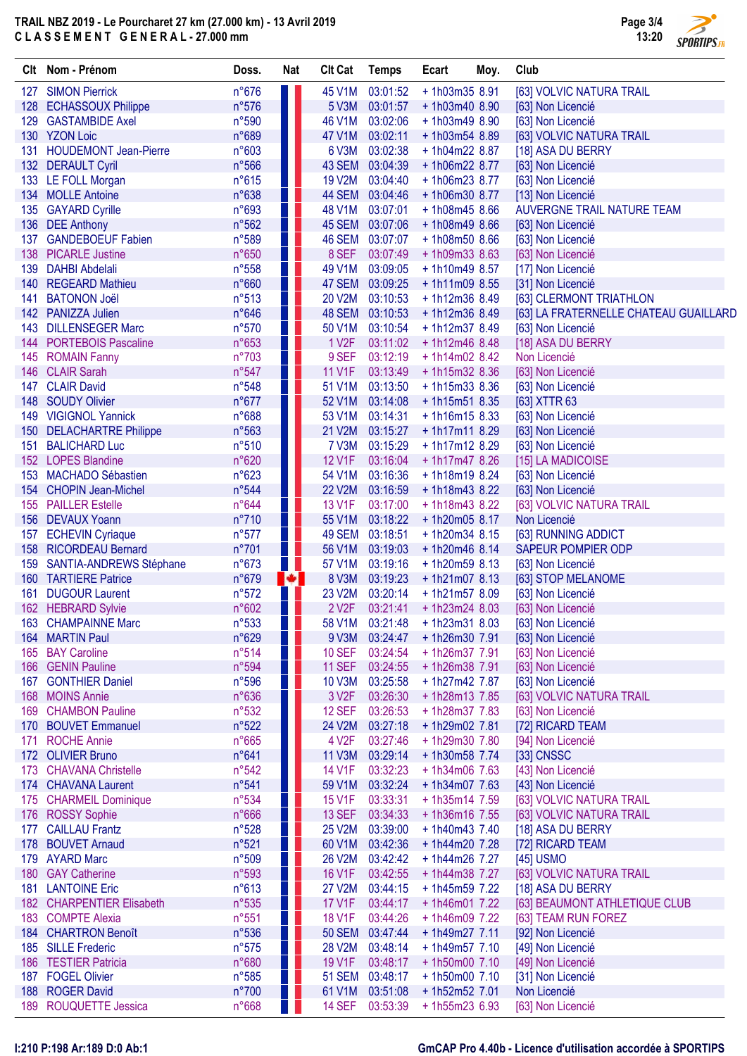# TRAIL NBZ 2019 - Le Pourcharet 27 km (27.000 km) - 13 Avril 2019 C L A S S E M E N T G E N E R A L - 27.000 mm

**SPORTIPS.FR** 

|     | Clt Nom - Prénom             | Doss. | <b>Nat</b> | <b>Clt Cat</b>     | <b>Temps</b>    | Ecart           | Moy. | Club                                  |
|-----|------------------------------|-------|------------|--------------------|-----------------|-----------------|------|---------------------------------------|
| 127 | <b>SIMON Pierrick</b>        | n°676 |            | 45 V1M             | 03:01:52        | +1h03m35 8.91   |      | [63] VOLVIC NATURA TRAIL              |
| 128 | <b>ECHASSOUX Philippe</b>    | n°576 |            | 5 V3M              | 03:01:57        | $+1h03m408.90$  |      | [63] Non Licencié                     |
| 129 | <b>GASTAMBIDE Axel</b>       | n°590 |            | 46 V1M             | 03:02:06        | +1h03m49 8.90   |      | [63] Non Licencié                     |
|     | 130 YZON Loic                | n°689 |            | 47 V1M             | 03:02:11        | $+1h03m548.89$  |      | [63] VOLVIC NATURA TRAIL              |
| 131 | <b>HOUDEMONT Jean-Pierre</b> | n°603 |            | 6 V3M              | 03:02:38        | +1h04m22 8.87   |      | [18] ASA DU BERRY                     |
|     | 132 DERAULT Cyril            | n°566 |            | 43 SEM             | 03:04:39        | +1h06m22 8.77   |      | [63] Non Licencié                     |
|     | 133 LE FOLL Morgan           | n°615 |            | <b>19 V2M</b>      | 03:04:40        | +1h06m23 8.77   |      | [63] Non Licencié                     |
|     | 134 MOLLE Antoine            | n°638 |            |                    | 44 SEM 03:04:46 | +1h06m30 8.77   |      | [13] Non Licencié                     |
| 135 | <b>GAYARD Cyrille</b>        | n°693 |            | 48 V1M             | 03:07:01        | $+1h08m458.66$  |      | AUVERGNE TRAIL NATURE TEAM            |
|     | 136 DEE Anthony              | n°562 |            |                    | 45 SEM 03:07:06 | $+1h08m498.66$  |      | [63] Non Licencié                     |
| 137 | <b>GANDEBOEUF Fabien</b>     | n°589 |            |                    | 46 SEM 03:07:07 | $+1h08m508.66$  |      | [63] Non Licencié                     |
| 138 | <b>PICARLE Justine</b>       | n°650 |            | 8 SEF              | 03:07:49        | $+1h09m338.63$  |      | [63] Non Licencié                     |
| 139 | <b>DAHBI Abdelali</b>        | n°558 |            | 49 V1M             | 03:09:05        | $+1h10m498.57$  |      | [17] Non Licencié                     |
| 140 | <b>REGEARD Mathieu</b>       | n°660 |            | 47 SEM             | 03:09:25        | $+1h11m09$ 8.55 |      | [31] Non Licencié                     |
| 141 | <b>BATONON Joël</b>          | n°513 |            | 20 V2M             | 03:10:53        | $+1h12m368.49$  |      | [63] CLERMONT TRIATHLON               |
|     | 142 PANIZZA Julien           | n°646 |            |                    | 48 SEM 03:10:53 | $+1h12m368.49$  |      | [63] LA FRATERNELLE CHATEAU GUAILLARD |
| 143 | <b>DILLENSEGER Marc</b>      | n°570 |            | 50 V1M             | 03:10:54        | $+1h12m378.49$  |      | [63] Non Licencié                     |
| 144 | <b>PORTEBOIS Pascaline</b>   | n°653 |            | 1 V <sub>2</sub> F | 03:11:02        | $+1h12m468.48$  |      | [18] ASA DU BERRY                     |
| 145 | <b>ROMAIN Fanny</b>          | n°703 |            | 9 SEF              | 03:12:19        | $+1h14m02$ 8.42 |      | Non Licencié                          |
| 146 | <b>CLAIR Sarah</b>           | n°547 |            | <b>11 V1F</b>      | 03:13:49        | $+1h15m32$ 8.36 |      | [63] Non Licencié                     |
| 147 | <b>CLAIR David</b>           | n°548 |            | 51 V1M             | 03:13:50        | $+1h15m338.36$  |      | [63] Non Licencié                     |
| 148 | <b>SOUDY Olivier</b>         | n°677 |            | 52 V1M             | 03:14:08        | $+1h15m51$ 8.35 |      | [63] XTTR 63                          |
| 149 | <b>VIGIGNOL Yannick</b>      | n°688 |            | 53 V1M             | 03:14:31        | $+1h16m158.33$  |      | [63] Non Licencié                     |
|     | 150 DELACHARTRE Philippe     | n°563 |            | 21 V2M             | 03:15:27        | $+1h17m118.29$  |      | [63] Non Licencié                     |
| 151 | <b>BALICHARD Luc</b>         | n°510 |            | 7 V3M              | 03:15:29        | $+1h17m12$ 8.29 |      | [63] Non Licencié                     |
|     | 152 LOPES Blandine           | n°620 |            | 12 V1F             | 03:16:04        | $+1h17m478.26$  |      | [15] LA MADICOISE                     |
| 153 | <b>MACHADO Sébastien</b>     | n°623 |            | 54 V1M             | 03:16:36        | $+1h18m198.24$  |      | [63] Non Licencié                     |
| 154 | <b>CHOPIN Jean-Michel</b>    | n°544 |            | <b>22 V2M</b>      | 03:16:59        | $+1h18m438.22$  |      | [63] Non Licencié                     |
|     | 155 PAILLER Estelle          | n°644 |            | 13 V1F             | 03:17:00        | $+1h18m438.22$  |      | [63] VOLVIC NATURA TRAIL              |
|     | 156 DEVAUX Yoann             | n°710 |            | 55 V1M             | 03:18:22        | +1h20m05 8.17   |      | Non Licencié                          |
|     | 157 ECHEVIN Cyriaque         | n°577 |            | 49 SEM             | 03:18:51        | $+1h20m34$ 8.15 |      | [63] RUNNING ADDICT                   |
|     | 158 RICORDEAU Bernard        | n°701 |            | 56 V1M             | 03:19:03        | $+1h20m46$ 8.14 |      | <b>SAPEUR POMPIER ODP</b>             |
|     | 159 SANTIA-ANDREWS Stéphane  | n°673 | u p        | 57 V1M             | 03:19:16        | $+1h20m598.13$  |      | [63] Non Licencié                     |
|     | 160 TARTIERE Patrice         | n°679 | lo.        | 8 V3M              | 03:19:23        | $+1h21m078.13$  |      | [63] STOP MELANOME                    |
| 161 | <b>DUGOUR Laurent</b>        | n°572 |            | 23 V2M             | 03:20:14        | $+1h21m578.09$  |      | [63] Non Licencié                     |
|     | 162 HEBRARD Sylvie           | n°602 |            | 2 V <sub>2</sub> F | 03:21:41        | $+1h23m248.03$  |      | [63] Non Licencié                     |
| 163 | <b>CHAMPAINNE Marc</b>       | n°533 |            |                    | 58 V1M 03:21:48 | $+1h23m318.03$  |      | [63] Non Licencié                     |
|     | 164 MARTIN Paul              | n°629 |            |                    | 9 V3M 03:24:47  | +1h26m30 7.91   |      | [63] Non Licencié                     |
| 165 | <b>BAY Caroline</b>          | n°514 |            | <b>10 SEF</b>      | 03:24:54        | +1h26m37 7.91   |      | [63] Non Licencié                     |
| 166 | <b>GENIN Pauline</b>         | n°594 |            | <b>11 SEF</b>      | 03:24:55        | +1h26m38 7.91   |      | [63] Non Licencié                     |
|     | 167 GONTHIER Daniel          | n°596 |            | <b>10 V3M</b>      | 03:25:58        | + 1h27m42 7.87  |      | [63] Non Licencié                     |
| 168 | <b>MOINS Annie</b>           | n°636 |            | 3 V <sub>2</sub> F | 03:26:30        | + 1h28m13 7.85  |      | [63] VOLVIC NATURA TRAIL              |
| 169 | <b>CHAMBON Pauline</b>       | n°532 |            | <b>12 SEF</b>      | 03:26:53        | $+ 1h28m377.83$ |      | [63] Non Licencié                     |
| 170 | <b>BOUVET Emmanuel</b>       | n°522 |            | 24 V2M             | 03:27:18        | +1h29m02 7.81   |      | [72] RICARD TEAM                      |
| 171 | <b>ROCHE Annie</b>           | n°665 |            | 4 V <sub>2</sub> F | 03:27:46        | +1h29m30 7.80   |      | [94] Non Licencié                     |
|     | 172 OLIVIER Bruno            | n°641 |            | <b>11 V3M</b>      | 03:29:14        | +1h30m58 7.74   |      | [33] CNSSC                            |
| 173 | <b>CHAVANA Christelle</b>    | n°542 |            | 14 V1F             | 03:32:23        | $+1h34m067.63$  |      | [43] Non Licencié                     |
|     | 174 CHAVANA Laurent          | n°541 |            | 59 V1M             | 03:32:24        | + 1h34m07 7.63  |      | [43] Non Licencié                     |
| 175 | <b>CHARMEIL Dominique</b>    | n°534 |            | <b>15 V1F</b>      | 03:33:31        | + 1h35m14 7.59  |      | [63] VOLVIC NATURA TRAIL              |
| 176 | <b>ROSSY Sophie</b>          | n°666 |            | <b>13 SEF</b>      | 03:34:33        | +1h36m16 7.55   |      | [63] VOLVIC NATURA TRAIL              |
| 177 | <b>CAILLAU Frantz</b>        | n°528 |            | 25 V2M             | 03:39:00        | $+1h40m43$ 7.40 |      | [18] ASA DU BERRY                     |
| 178 | <b>BOUVET Arnaud</b>         | n°521 |            | 60 V1M             | 03:42:36        | + 1h44m20 7.28  |      | [72] RICARD TEAM                      |
| 179 | <b>AYARD Marc</b>            | n°509 |            | 26 V2M             | 03:42:42        | +1h44m26 7.27   |      | [45] USMO                             |
|     | 180 GAY Catherine            | n°593 |            | <b>16 V1F</b>      | 03:42:55        | +1h44m38 7.27   |      | [63] VOLVIC NATURA TRAIL              |
|     | 181 LANTOINE Eric            | n°613 |            | <b>27 V2M</b>      | 03:44:15        | + 1h45m59 7.22  |      | [18] ASA DU BERRY                     |
|     | 182 CHARPENTIER Elisabeth    | n°535 |            | <b>17 V1F</b>      | 03:44:17        | $+1h46m017.22$  |      | [63] BEAUMONT ATHLETIQUE CLUB         |
|     | 183 COMPTE Alexia            | n°551 |            | <b>18 V1F</b>      | 03:44:26        | +1h46m09 7.22   |      | [63] TEAM RUN FOREZ                   |
|     | 184 CHARTRON Benoît          | n°536 |            |                    | 50 SEM 03:47:44 | +1h49m27 7.11   |      | [92] Non Licencié                     |
|     | 185 SILLE Frederic           | n°575 |            | 28 V2M             | 03:48:14        | +1h49m57 7.10   |      | [49] Non Licencié                     |
|     | 186 TESTIER Patricia         | n°680 |            | 19 V1F             | 03:48:17        | $+1h50m007.10$  |      | [49] Non Licencié                     |
|     | 187 FOGEL Olivier            | n°585 |            |                    | 51 SEM 03:48:17 | $+1h50m007.10$  |      | [31] Non Licencié                     |
| 188 | <b>ROGER David</b>           | n°700 |            | 61 V1M             | 03:51:08        | +1h52m52 7.01   |      | Non Licencié                          |
| 189 | <b>ROUQUETTE Jessica</b>     | n°668 |            | <b>14 SEF</b>      | 03:53:39        | $+1h55m236.93$  |      | [63] Non Licencié                     |
|     |                              |       |            |                    |                 |                 |      |                                       |

# I:210 P:198 Ar:189 D:0 Ab:1 GmCAP Pro 4.40b - Licence d'utilisation accordée à SPORTIPS